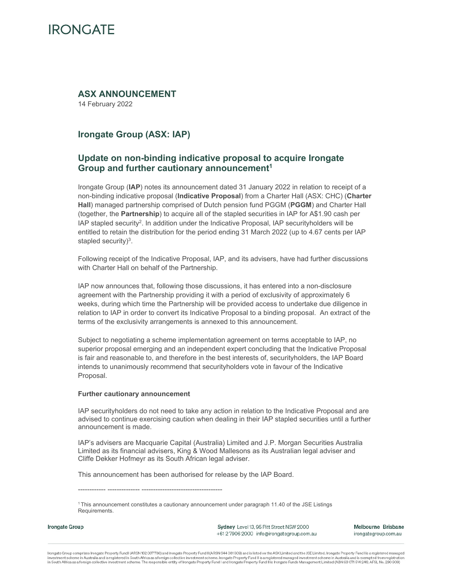### **ASX ANNOUNCEMENT**

14 February 2022

## **Irongate Group (ASX: IAP)**

### **Update on non-binding indicative proposal to acquire Irongate Group and further cautionary announcement1**

Irongate Group (**IAP**) notes its announcement dated 31 January 2022 in relation to receipt of a non-binding indicative proposal (**Indicative Proposal**) from a Charter Hall (ASX: CHC) (**Charter Hall**) managed partnership comprised of Dutch pension fund PGGM (**PGGM**) and Charter Hall (together, the **Partnership**) to acquire all of the stapled securities in IAP for A\$1.90 cash per IAP stapled security2. In addition under the Indicative Proposal, IAP securityholders will be entitled to retain the distribution for the period ending 31 March 2022 (up to 4.67 cents per IAP stapled security) $3$ .

Following receipt of the Indicative Proposal, IAP, and its advisers, have had further discussions with Charter Hall on behalf of the Partnership.

IAP now announces that, following those discussions, it has entered into a non-disclosure agreement with the Partnership providing it with a period of exclusivity of approximately 6 weeks, during which time the Partnership will be provided access to undertake due diligence in relation to IAP in order to convert its Indicative Proposal to a binding proposal. An extract of the terms of the exclusivity arrangements is annexed to this announcement.

Subject to negotiating a scheme implementation agreement on terms acceptable to IAP, no superior proposal emerging and an independent expert concluding that the Indicative Proposal is fair and reasonable to, and therefore in the best interests of, securityholders, the IAP Board intends to unanimously recommend that securityholders vote in favour of the Indicative Proposal.

#### **Further cautionary announcement**

IAP securityholders do not need to take any action in relation to the Indicative Proposal and are advised to continue exercising caution when dealing in their IAP stapled securities until a further announcement is made.

IAP's advisers are Macquarie Capital (Australia) Limited and J.P. Morgan Securities Australia Limited as its financial advisers, King & Wood Mallesons as its Australian legal adviser and Cliffe Dekker Hofmeyr as its South African legal adviser.

This announcement has been authorised for release by the IAP Board.

------------ -------------- -----------------------------------

Irongate Group

Sydney Level 13, 95 Pitt Street NSW 2000 +612 7906 2000 info@irongategroup.com.au Melbourne Brisbane irongategroup.com.au

Irongate Group comprises Irongate Property Fund I (ARSN 162 067736) and Irongate Property Fund II (ARSN 644 081 309) and is listed on the ASX Limited and the JSE Limited, Irongate Property Fund I is a registered managed investment scheme in Australia and is registered in South Africa as a foreign collective investment scheme. Irongate Property Fund II is a registered managed investment scheme in Australia and is exempted from registration

<sup>1</sup> This announcement constitutes a cautionary announcement under paragraph 11.40 of the JSE Listings Requirements.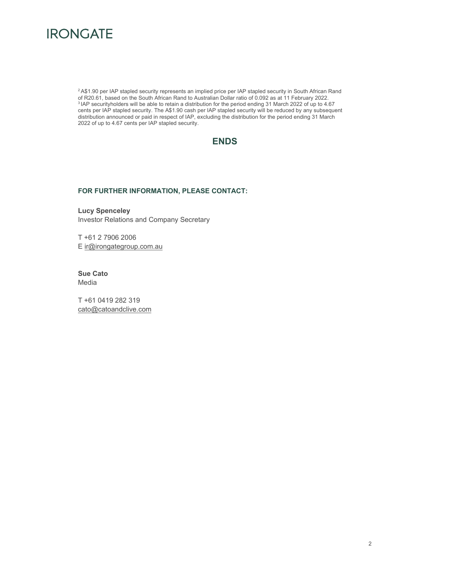

2 A\$1.90 per IAP stapled security represents an implied price per IAP stapled security in South African Rand of R20.61, based on the South African Rand to Australian Dollar ratio of 0.092 as at 11 February 2022. <sup>3</sup> IAP securityholders will be able to retain a distribution for the period ending 31 March 2022 of up to 4.67 cents per IAP stapled security. The A\$1.90 cash per IAP stapled security will be reduced by any subsequent distribution announced or paid in respect of IAP, excluding the distribution for the period ending 31 March 2022 of up to 4.67 cents per IAP stapled security.



#### **FOR FURTHER INFORMATION, PLEASE CONTACT:**

**Lucy Spenceley**  Investor Relations and Company Secretary

T +61 2 7906 2006 E ir@irongategroup.com.au

**Sue Cato**  Media

T +61 0419 282 319 cato@catoandclive.com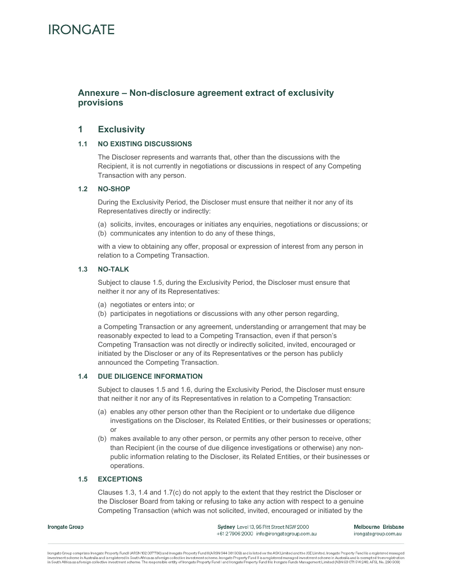### **Annexure – Non-disclosure agreement extract of exclusivity provisions**

### **1 Exclusivity**

#### **1.1 NO EXISTING DISCUSSIONS**

The Discloser represents and warrants that, other than the discussions with the Recipient, it is not currently in negotiations or discussions in respect of any Competing Transaction with any person.

#### **1.2 NO-SHOP**

During the Exclusivity Period, the Discloser must ensure that neither it nor any of its Representatives directly or indirectly:

(a) solicits, invites, encourages or initiates any enquiries, negotiations or discussions; or (b) communicates any intention to do any of these things,

with a view to obtaining any offer, proposal or expression of interest from any person in relation to a Competing Transaction.

#### **1.3 NO-TALK**

Subject to clause 1.5, during the Exclusivity Period, the Discloser must ensure that neither it nor any of its Representatives:

- (a) negotiates or enters into; or
- (b) participates in negotiations or discussions with any other person regarding,

a Competing Transaction or any agreement, understanding or arrangement that may be reasonably expected to lead to a Competing Transaction, even if that person's Competing Transaction was not directly or indirectly solicited, invited, encouraged or initiated by the Discloser or any of its Representatives or the person has publicly announced the Competing Transaction.

#### **1.4 DUE DILIGENCE INFORMATION**

Subject to clauses 1.5 and 1.6, during the Exclusivity Period, the Discloser must ensure that neither it nor any of its Representatives in relation to a Competing Transaction:

- (a) enables any other person other than the Recipient or to undertake due diligence investigations on the Discloser, its Related Entities, or their businesses or operations; or
- (b) makes available to any other person, or permits any other person to receive, other than Recipient (in the course of due diligence investigations or otherwise) any nonpublic information relating to the Discloser, its Related Entities, or their businesses or operations.

#### **1.5 EXCEPTIONS**

Clauses 1.3, 1.4 and 1.7(c) do not apply to the extent that they restrict the Discloser or the Discloser Board from taking or refusing to take any action with respect to a genuine Competing Transaction (which was not solicited, invited, encouraged or initiated by the

Irongate Group

Sydney Level 13, 95 Pitt Street NSW 2000 +612 7906 2000 info@irongategroup.com.au Melbourne Brisbane irongategroup.com.au

irongate Group comprises Irongate Property Fund I (ARSN 162 067736) and Irongate Property Fund II (ARSN 644 081 309) and is listed on the ASX Limited and the JSE Limited. Irongate Property Fund I is a registered managed investment scheme in Australia and is registered in South Africa as a foreign collective investment scheme. Irongate Property Fund II is a registered managed investment scheme in Australia and is exempted from registration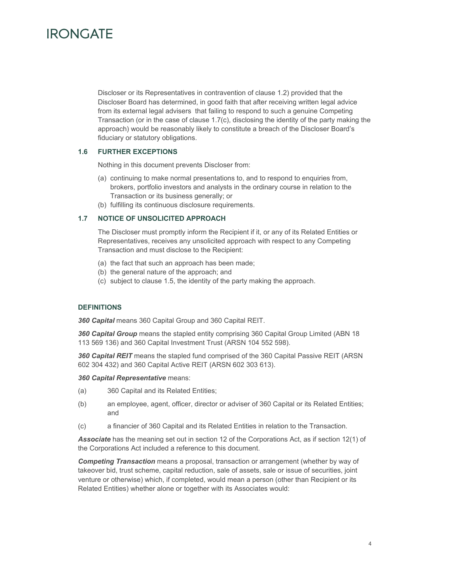Discloser or its Representatives in contravention of clause 1.2) provided that the Discloser Board has determined, in good faith that after receiving written legal advice from its external legal advisers that failing to respond to such a genuine Competing Transaction (or in the case of clause 1.7(c), disclosing the identity of the party making the approach) would be reasonably likely to constitute a breach of the Discloser Board's fiduciary or statutory obligations.

#### **1.6 FURTHER EXCEPTIONS**

Nothing in this document prevents Discloser from:

- (a) continuing to make normal presentations to, and to respond to enquiries from, brokers, portfolio investors and analysts in the ordinary course in relation to the Transaction or its business generally; or
- (b) fulfilling its continuous disclosure requirements.

#### **1.7 NOTICE OF UNSOLICITED APPROACH**

The Discloser must promptly inform the Recipient if it, or any of its Related Entities or Representatives, receives any unsolicited approach with respect to any Competing Transaction and must disclose to the Recipient:

- (a) the fact that such an approach has been made;
- (b) the general nature of the approach; and
- (c) subject to clause 1.5, the identity of the party making the approach.

#### **DEFINITIONS**

*360 Capital* means 360 Capital Group and 360 Capital REIT.

*360 Capital Group* means the stapled entity comprising 360 Capital Group Limited (ABN 18 113 569 136) and 360 Capital Investment Trust (ARSN 104 552 598).

*360 Capital REIT* means the stapled fund comprised of the 360 Capital Passive REIT (ARSN 602 304 432) and 360 Capital Active REIT (ARSN 602 303 613).

*360 Capital Representative* means:

- (a) 360 Capital and its Related Entities;
- (b) an employee, agent, officer, director or adviser of 360 Capital or its Related Entities; and
- (c) a financier of 360 Capital and its Related Entities in relation to the Transaction.

*Associate* has the meaning set out in section 12 of the Corporations Act, as if section 12(1) of the Corporations Act included a reference to this document.

*Competing Transaction* means a proposal, transaction or arrangement (whether by way of takeover bid, trust scheme, capital reduction, sale of assets, sale or issue of securities, joint venture or otherwise) which, if completed, would mean a person (other than Recipient or its Related Entities) whether alone or together with its Associates would: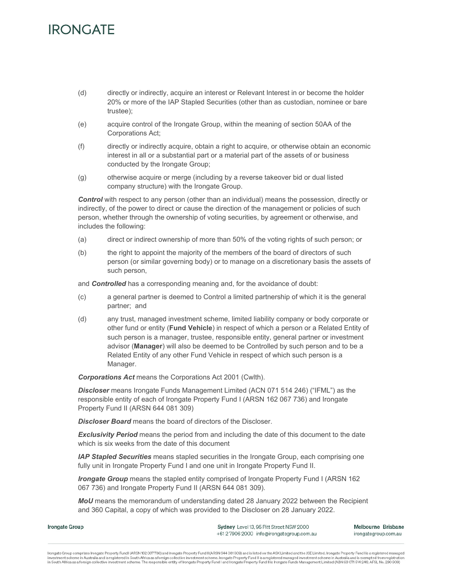- (d) directly or indirectly, acquire an interest or Relevant Interest in or become the holder 20% or more of the IAP Stapled Securities (other than as custodian, nominee or bare trustee);
- (e) acquire control of the Irongate Group, within the meaning of section 50AA of the Corporations Act;
- (f) directly or indirectly acquire, obtain a right to acquire, or otherwise obtain an economic interest in all or a substantial part or a material part of the assets of or business conducted by the Irongate Group;
- (g) otherwise acquire or merge (including by a reverse takeover bid or dual listed company structure) with the Irongate Group.

*Control* with respect to any person (other than an individual) means the possession, directly or indirectly, of the power to direct or cause the direction of the management or policies of such person, whether through the ownership of voting securities, by agreement or otherwise, and includes the following:

- (a) direct or indirect ownership of more than 50% of the voting rights of such person; or
- (b) the right to appoint the majority of the members of the board of directors of such person (or similar governing body) or to manage on a discretionary basis the assets of such person,

and *Controlled* has a corresponding meaning and, for the avoidance of doubt:

- (c) a general partner is deemed to Control a limited partnership of which it is the general partner; and
- (d) any trust, managed investment scheme, limited liability company or body corporate or other fund or entity (**Fund Vehicle**) in respect of which a person or a Related Entity of such person is a manager, trustee, responsible entity, general partner or investment advisor (**Manager**) will also be deemed to be Controlled by such person and to be a Related Entity of any other Fund Vehicle in respect of which such person is a Manager.

*Corporations Act* means the Corporations Act 2001 (Cwlth).

*Discloser* means Irongate Funds Management Limited (ACN 071 514 246) ("IFML") as the responsible entity of each of Irongate Property Fund I (ARSN 162 067 736) and Irongate Property Fund II (ARSN 644 081 309)

*Discloser Board* means the board of directors of the Discloser.

**Exclusivity Period** means the period from and including the date of this document to the date which is six weeks from the date of this document

*IAP Stapled Securities* means stapled securities in the Irongate Group, each comprising one fully unit in Irongate Property Fund I and one unit in Irongate Property Fund II.

*Irongate Group* means the stapled entity comprised of Irongate Property Fund I (ARSN 162) 067 736) and Irongate Property Fund II (ARSN 644 081 309).

*MoU* means the memorandum of understanding dated 28 January 2022 between the Recipient and 360 Capital, a copy of which was provided to the Discloser on 28 January 2022.

Irongate Group

Sydney Level 13, 95 Pitt Street NSW 2000 +612 7906 2000 info@irongategroup.com.au Melbourne Brisbane irongategroup.com.au

irongate Group comprises Irongate Property Fund I (ARSN 162 067736) and Irongate Property Fund II (ARSN 644 081 309) and is listed on the ASX Limited and the JSE Limited. Irongate Property Fund I is a registered managed investment scheme in Australia and is registered in South Africa as a foreign collective investment scheme. Irongate Property Fund II is a registered managed investment scheme in Australia and is exempted from registration